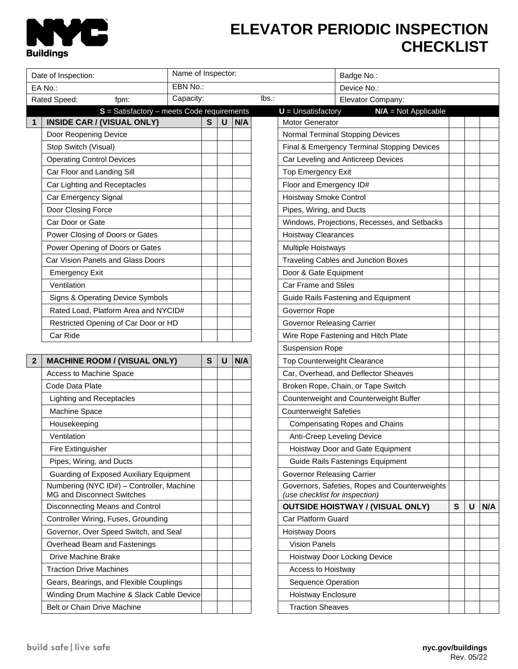

## **ELEVATOR PERIODIC INSPECTION CHECKLIST**

| Name of Inspector:<br>Date of Inspection:                                                                                      |  |              |   |     |                        | Badge No.:                                                                      |   |   |     |  |
|--------------------------------------------------------------------------------------------------------------------------------|--|--------------|---|-----|------------------------|---------------------------------------------------------------------------------|---|---|-----|--|
| EBN No.:<br>EA No.:                                                                                                            |  |              |   |     |                        | Device No.:                                                                     |   |   |     |  |
| Capacity:<br>Rated Speed:<br>fpm:                                                                                              |  |              |   |     | lbs.                   | Elevator Company:                                                               |   |   |     |  |
| $S = S$ atisfactory – meets Code requirements                                                                                  |  |              |   |     | $U =$ Unsatisfactory   | $N/A = Not Applicable$                                                          |   |   |     |  |
| <b>INSIDE CAR / (VISUAL ONLY)</b><br>$\mathbf{1}$                                                                              |  | $\mathbf{s}$ | U | N/A | <b>Motor Generator</b> |                                                                                 |   |   |     |  |
| Door Reopening Device                                                                                                          |  |              |   |     |                        | <b>Normal Terminal Stopping Devices</b>                                         |   |   |     |  |
| Stop Switch (Visual)                                                                                                           |  |              |   |     |                        | Final & Emergency Terminal Stopping Devices                                     |   |   |     |  |
| <b>Operating Control Devices</b>                                                                                               |  |              |   |     |                        | Car Leveling and Anticreep Devices                                              |   |   |     |  |
| Car Floor and Landing Sill                                                                                                     |  |              |   |     |                        | <b>Top Emergency Exit</b>                                                       |   |   |     |  |
| Car Lighting and Receptacles                                                                                                   |  |              |   |     |                        | Floor and Emergency ID#                                                         |   |   |     |  |
| Car Emergency Signal                                                                                                           |  |              |   |     |                        | <b>Hoistway Smoke Control</b>                                                   |   |   |     |  |
| Door Closing Force                                                                                                             |  |              |   |     |                        | Pipes, Wiring, and Ducts                                                        |   |   |     |  |
| Car Door or Gate                                                                                                               |  |              |   |     |                        | Windows, Projections, Recesses, and Setbacks                                    |   |   |     |  |
| Power Closing of Doors or Gates                                                                                                |  |              |   |     |                        | <b>Hoistway Clearances</b>                                                      |   |   |     |  |
| Power Opening of Doors or Gates                                                                                                |  |              |   |     |                        | Multiple Hoistways                                                              |   |   |     |  |
| Car Vision Panels and Glass Doors                                                                                              |  |              |   |     |                        | Traveling Cables and Junction Boxes                                             |   |   |     |  |
| <b>Emergency Exit</b>                                                                                                          |  |              |   |     |                        | Door & Gate Equipment                                                           |   |   |     |  |
| Ventilation                                                                                                                    |  |              |   |     |                        | <b>Car Frame and Stiles</b>                                                     |   |   |     |  |
| Signs & Operating Device Symbols                                                                                               |  |              |   |     |                        | Guide Rails Fastening and Equipment                                             |   |   |     |  |
| Rated Load, Platform Area and NYCID#                                                                                           |  |              |   |     | Governor Rope          |                                                                                 |   |   |     |  |
| Restricted Opening of Car Door or HD                                                                                           |  |              |   |     |                        | <b>Governor Releasing Carrier</b>                                               |   |   |     |  |
| Car Ride                                                                                                                       |  |              |   |     |                        | Wire Rope Fastening and Hitch Plate                                             |   |   |     |  |
|                                                                                                                                |  |              |   |     | <b>Suspension Rope</b> |                                                                                 |   |   |     |  |
| <b>MACHINE ROOM / (VISUAL ONLY)</b><br>$\overline{2}$                                                                          |  | S            | U | N/A |                        | Top Counterweight Clearance                                                     |   |   |     |  |
| Access to Machine Space                                                                                                        |  |              |   |     |                        | Car, Overhead, and Deflector Sheaves                                            |   |   |     |  |
| Code Data Plate                                                                                                                |  |              |   |     |                        | Broken Rope, Chain, or Tape Switch                                              |   |   |     |  |
| <b>Lighting and Receptacles</b>                                                                                                |  |              |   |     |                        | Counterweight and Counterweight Buffer                                          |   |   |     |  |
| Machine Space                                                                                                                  |  |              |   |     |                        | <b>Counterweight Safeties</b>                                                   |   |   |     |  |
| Housekeeping                                                                                                                   |  |              |   |     |                        | <b>Compensating Ropes and Chains</b>                                            |   |   |     |  |
| Ventilation                                                                                                                    |  |              |   |     |                        | Anti-Creep Leveling Device                                                      |   |   |     |  |
| Fire Extinguisher                                                                                                              |  |              |   |     |                        | Hoistway Door and Gate Equipment                                                |   |   |     |  |
| Pipes, Wiring, and Ducts<br>Guarding of Exposed Auxiliary Equipment                                                            |  |              |   |     |                        | Guide Rails Fastenings Equipment                                                |   |   |     |  |
|                                                                                                                                |  |              |   |     |                        | <b>Governor Releasing Carrier</b>                                               |   |   |     |  |
| Numbering (NYC ID#) - Controller, Machine<br>MG and Disconnect Switches                                                        |  |              |   |     |                        | Governors, Safeties, Ropes and Counterweights<br>(use checklist for inspection) |   |   |     |  |
| Disconnecting Means and Control                                                                                                |  |              |   |     |                        | <b>OUTSIDE HOISTWAY / (VISUAL ONLY)</b>                                         | S | U | N/A |  |
| Controller Wiring, Fuses, Grounding                                                                                            |  |              |   |     | Car Platform Guard     |                                                                                 |   |   |     |  |
| Governor, Over Speed Switch, and Seal<br>Overhead Beam and Fastenings<br>Drive Machine Brake<br><b>Traction Drive Machines</b> |  |              |   |     | <b>Hoistway Doors</b>  |                                                                                 |   |   |     |  |
|                                                                                                                                |  |              |   |     | <b>Vision Panels</b>   |                                                                                 |   |   |     |  |
|                                                                                                                                |  |              |   |     |                        | Hoistway Door Locking Device                                                    |   |   |     |  |
|                                                                                                                                |  |              |   |     |                        | Access to Hoistway                                                              |   |   |     |  |
| Gears, Bearings, and Flexible Couplings                                                                                        |  |              |   |     |                        | Sequence Operation                                                              |   |   |     |  |
| Winding Drum Machine & Slack Cable Device                                                                                      |  |              |   |     |                        | Hoistway Enclosure                                                              |   |   |     |  |
| Belt or Chain Drive Machine                                                                                                    |  |              |   |     |                        |                                                                                 |   |   |     |  |